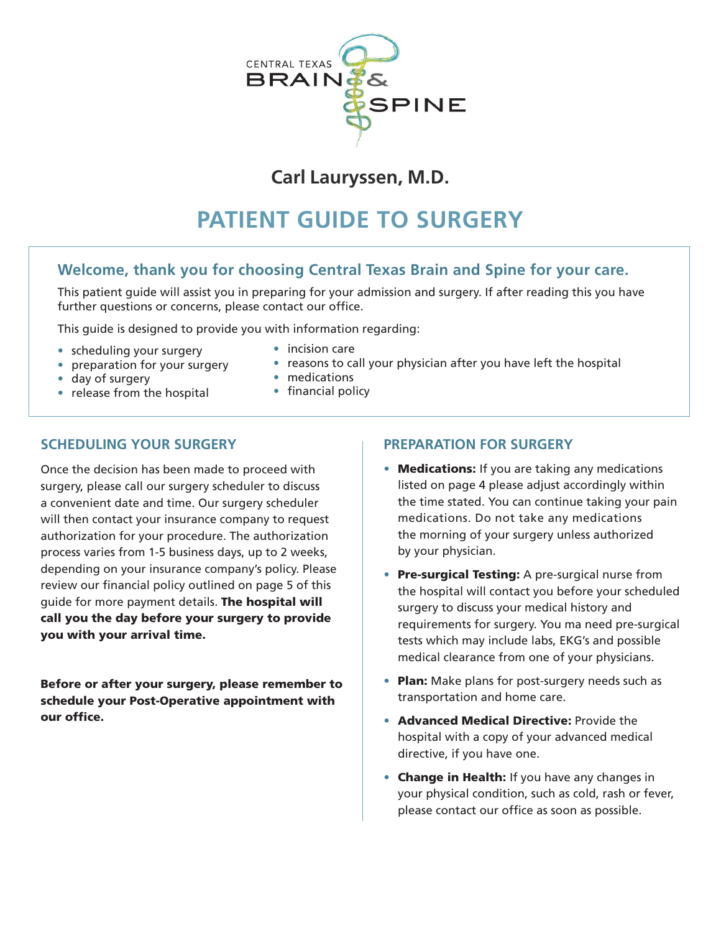

## **Carl Lauryssen, M.D.**

# **PATIENT GUIDE TO SURGERY**

### **Welcome, thank you for choosing Central Texas Brain and Spine for your care.**

This patient guide will assist you in preparing for your admission and surgery. If after reading this you have further questions or concerns, please contact our office.

This guide is designed to provide you with information regarding:

- scheduling your surgery incision care
- 
- 
- 
- preparation for your surgery reasons to call your physician after you have left the hospital<br>• day of surgery medications
	-
- day of surgery medications  $\bullet$  release from the hospital
	-

#### **SCHEDULING YOUR SURGERY**

Once the decision has been made to proceed with surgery, please call our surgery scheduler to discuss a convenient date and time. Our surgery scheduler will then contact your insurance company to request authorization for your procedure. The authorization process varies from 1-5 business days, up to 2 weeks, depending on your insurance company's policy. Please review our financial policy outlined on page 5 of this guide for more payment details. The hospital will call you the day before your surgery to provide you with your arrival time.

Before or after your surgery, please remember to schedule your Post-Operative appointment with our office

#### **PREPARATION FOR SURGERY**

- Medications: If you are taking any medications listed on page 4 please adjust accordingly within the time stated. You can continue taking your pain medications. Do not take any medications the morning of your surgery unless authorized by your physician.
- Pre-surgical Testing: A pre-surgical nurse from the hospital will contact you before your scheduled surgery to discuss your medical history and requirements for surgery. You ma need pre-surgical tests which may include labs, EKG's and possible medical clearance from one of your physicians.
- Plan: Make plans for post-surgery needs such as transportation and home care.
- Advanced Medical Directive: Provide the hospital with a copy of your advanced medical directive, if you have one.
- Change in Health: If you have any changes in your physical condition, such as cold, rash or fever, please contact our office as soon as possible.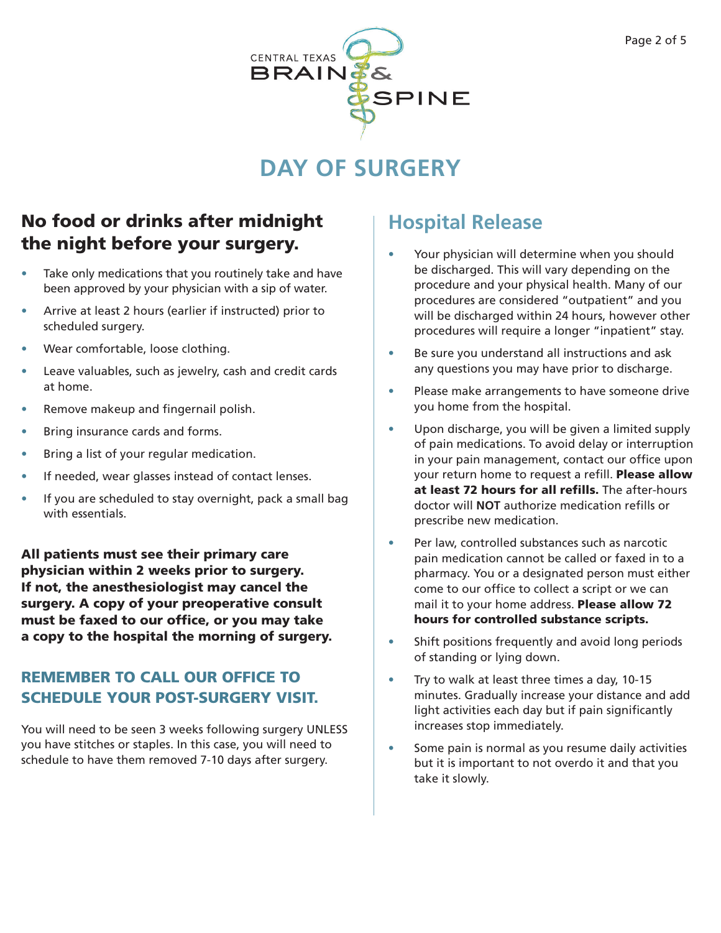

# **DAY OF SURGERY**

## No food or drinks after midnight the night before your surgery.

- Take only medications that you routinely take and have been approved by your physician with a sip of water.
- Arrive at least 2 hours (earlier if instructed) prior to scheduled surgery.
- Wear comfortable, loose clothing.
- Leave valuables, such as jewelry, cash and credit cards at home.
- Remove makeup and fingernail polish.
- Bring insurance cards and forms.
- Bring a list of your regular medication.
- If needed, wear glasses instead of contact lenses.
- If you are scheduled to stay overnight, pack a small bag with essentials.

All patients must see their primary care physician within 2 weeks prior to surgery. If not, the anesthesiologist may cancel the surgery. A copy of your preoperative consult must be faxed to our office, or you may take a copy to the hospital the morning of surgery.

## REMEMBER TO CALL OUR OFFICE TO SCHEDULE YOUR POST-SURGERY VISIT.

You will need to be seen 3 weeks following surgery UNLESS you have stitches or staples. In this case, you will need to schedule to have them removed 7-10 days after surgery.

# **Hospital Release**

- Your physician will determine when you should be discharged. This will vary depending on the procedure and your physical health. Many of our procedures are considered "outpatient" and you will be discharged within 24 hours, however other procedures will require a longer "inpatient" stay.
- Be sure you understand all instructions and ask any questions you may have prior to discharge.
- Please make arrangements to have someone drive you home from the hospital.
- Upon discharge, you will be given a limited supply of pain medications. To avoid delay or interruption in your pain management, contact our office upon your return home to request a refill. Please allow at least 72 hours for all refills. The after-hours doctor will **NOT** authorize medication reflls or prescribe new medication.
- Per law, controlled substances such as narcotic pain medication cannot be called or faxed in to a pharmacy. You or a designated person must either come to our office to collect a script or we can mail it to your home address. Please allow 72 hours for controlled substance scripts.
- Shift positions frequently and avoid long periods of standing or lying down.
- Try to walk at least three times a day, 10-15 minutes. Gradually increase your distance and add light activities each day but if pain significantly increases stop immediately.
- Some pain is normal as you resume daily activities but it is important to not overdo it and that you take it slowly.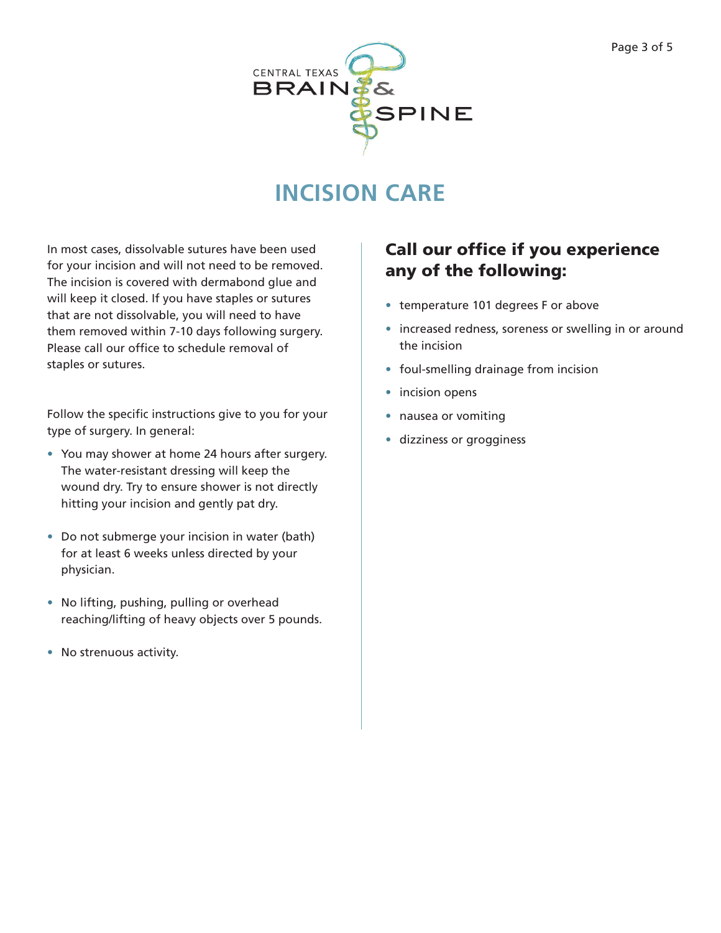

# **INCISION CARE**

In most cases, dissolvable sutures have been used for your incision and will not need to be removed. The incision is covered with dermabond glue and will keep it closed. If you have staples or sutures that are not dissolvable, you will need to have them removed within 7-10 days following surgery. Please call our office to schedule removal of staples or sutures.

Follow the specific instructions give to you for your type of surgery. In general:

- You may shower at home 24 hours after surgery. The water-resistant dressing will keep the wound dry. Try to ensure shower is not directly hitting your incision and gently pat dry.
- Do not submerge your incision in water (bath) for at least 6 weeks unless directed by your physician.
- No lifting, pushing, pulling or overhead reaching/lifting of heavy objects over 5 pounds.
- No strenuous activity.

## Call our office if you experience any of the following:

- temperature 101 degrees F or above
- increased redness, soreness or swelling in or around the incision
- foul-smelling drainage from incision
- incision opens
- nausea or vomiting
- dizziness or grogginess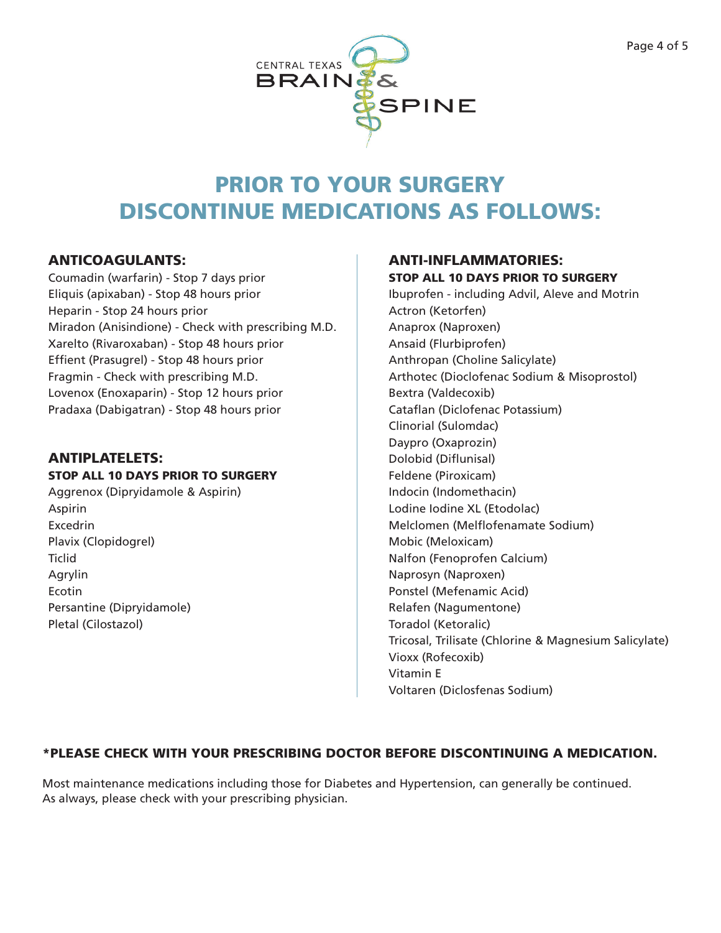

# PRIOR TO YOUR SURGERY DISCONTINUE MEDICATIONS AS FOLLOWS:

#### ANTICOAGULANTS:

Coumadin (warfarin) - Stop 7 days prior Eliquis (apixaban) - Stop 48 hours prior Heparin - Stop 24 hours prior Miradon (Anisindione) - Check with prescribing M.D. Xarelto (Rivaroxaban) - Stop 48 hours prior Effient (Prasugrel) - Stop 48 hours prior Fragmin - Check with prescribing M.D. Lovenox (Enoxaparin) - Stop 12 hours prior Pradaxa (Dabigatran) - Stop 48 hours prior

### ANTIPLATELETS:

#### STOP ALL 10 DAYS PRIOR TO SURGERY

Aggrenox (Dipryidamole & Aspirin) Aspirin Excedrin Plavix (Clopidogrel) **Ticlid** Agrylin Ecotin Persantine (Dipryidamole) Pletal (Cilostazol)

### ANTI-INFLAMMATORIES: STOP ALL 10 DAYS PRIOR TO SURGERY

Ibuprofen - including Advil, Aleve and Motrin Actron (Ketorfen) Anaprox (Naproxen) Ansaid (Flurbiprofen) Anthropan (Choline Salicylate) Arthotec (Dioclofenac Sodium & Misoprostol) Bextra (Valdecoxib) Cataflan (Diclofenac Potassium) Clinorial (Sulomdac) Daypro (Oxaprozin) Dolobid (Difunisal) Feldene (Piroxicam) Indocin (Indomethacin) Lodine Iodine XL (Etodolac) Melclomen (Melfofenamate Sodium) Mobic (Meloxicam) Nalfon (Fenoprofen Calcium) Naprosyn (Naproxen) Ponstel (Mefenamic Acid) Relafen (Nagumentone) Toradol (Ketoralic) Tricosal, Trilisate (Chlorine & Magnesium Salicylate) Vioxx (Rofecoxib) Vitamin E Voltaren (Diclosfenas Sodium)

#### \*PLEASE CHECK WITH YOUR PRESCRIBING DOCTOR BEFORE DISCONTINUING A MEDICATION.

Most maintenance medications including those for Diabetes and Hypertension, can generally be continued. As always, please check with your prescribing physician.